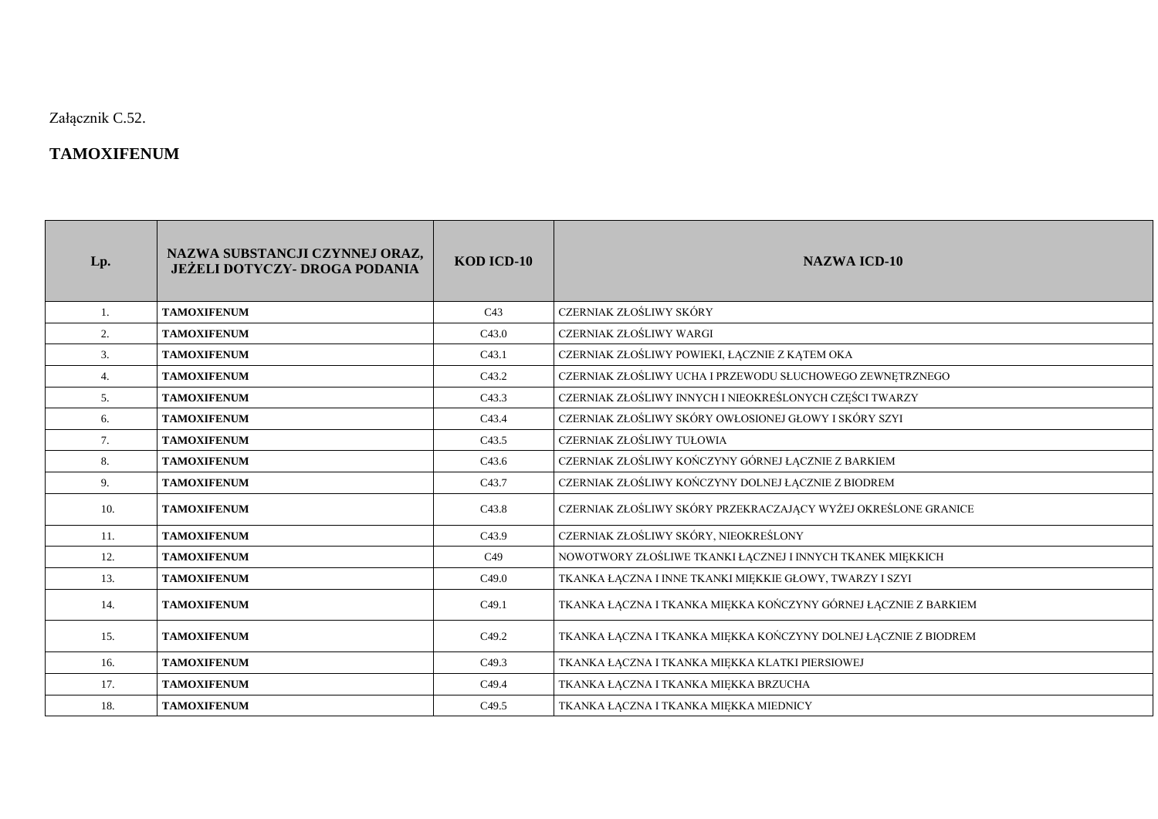Załącznik C.52.

## **TAMOXIFENUM**

| Lp. | NAZWA SUBSTANCJI CZYNNEJ ORAZ,<br><b>JEŻELI DOTYCZY- DROGA PODANIA</b> | KOD ICD-10        | NAZWA ICD-10                                                    |
|-----|------------------------------------------------------------------------|-------------------|-----------------------------------------------------------------|
| 1.  | <b>TAMOXIFENUM</b>                                                     | C43               | CZERNIAK ZŁOŚLIWY SKÓRY                                         |
| 2.  | <b>TAMOXIFENUM</b>                                                     | C43.0             | CZERNIAK ZŁOŚLIWY WARGI                                         |
| 3.  | <b>TAMOXIFENUM</b>                                                     | C <sub>43.1</sub> | CZERNIAK ZŁOŚLIWY POWIEKI, ŁĄCZNIE Z KĄTEM OKA                  |
| 4.  | <b>TAMOXIFENUM</b>                                                     | C <sub>43.2</sub> | CZERNIAK ZŁOŚLIWY UCHA I PRZEWODU SŁUCHOWEGO ZEWNĘTRZNEGO       |
| 5.  | <b>TAMOXIFENUM</b>                                                     | C <sub>43.3</sub> | CZERNIAK ZŁOŚLIWY INNYCH I NIEOKREŚLONYCH CZĘŚCI TWARZY         |
| 6.  | <b>TAMOXIFENUM</b>                                                     | C <sub>43.4</sub> | CZERNIAK ZŁOŚLIWY SKÓRY OWŁOSIONEJ GŁOWY I SKÓRY SZYI           |
| 7.  | <b>TAMOXIFENUM</b>                                                     | C <sub>43.5</sub> | CZERNIAK ZŁOŚLIWY TUŁOWIA                                       |
| 8.  | <b>TAMOXIFENUM</b>                                                     | C <sub>43.6</sub> | CZERNIAK ZŁOŚLIWY KOŃCZYNY GÓRNEJ ŁĄCZNIE Z BARKIEM             |
| 9.  | <b>TAMOXIFENUM</b>                                                     | C <sub>43.7</sub> | CZERNIAK ZŁOŚLIWY KOŃCZYNY DOLNEJ ŁĄCZNIE Z BIODREM             |
| 10. | <b>TAMOXIFENUM</b>                                                     | C <sub>43.8</sub> | CZERNIAK ZŁOŚLIWY SKÓRY PRZEKRACZAJĄCY WYŻEJ OKREŚLONE GRANICE  |
| 11. | <b>TAMOXIFENUM</b>                                                     | C <sub>43.9</sub> | CZERNIAK ZŁOŚLIWY SKÓRY, NIEOKREŚLONY                           |
| 12. | <b>TAMOXIFENUM</b>                                                     | C49               | NOWOTWORY ZŁOŚLIWE TKANKI ŁĄCZNEJ I INNYCH TKANEK MIĘKKICH      |
| 13. | <b>TAMOXIFENUM</b>                                                     | C49.0             | TKANKA ŁĄCZNA I INNE TKANKI MIĘKKIE GŁOWY, TWARZY I SZYI        |
| 14. | <b>TAMOXIFENUM</b>                                                     | C <sub>49.1</sub> | TKANKA ŁĄCZNA I TKANKA MIĘKKA KOŃCZYNY GÓRNEJ ŁĄCZNIE Z BARKIEM |
| 15. | <b>TAMOXIFENUM</b>                                                     | C <sub>49.2</sub> | TKANKA ŁĄCZNA I TKANKA MIĘKKA KOŃCZYNY DOLNEJ ŁĄCZNIE Z BIODREM |
| 16. | <b>TAMOXIFENUM</b>                                                     | C <sub>49.3</sub> | TKANKA ŁĄCZNA I TKANKA MIĘKKA KLATKI PIERSIOWEJ                 |
| 17. | <b>TAMOXIFENUM</b>                                                     | C <sub>49.4</sub> | TKANKA ŁĄCZNA I TKANKA MIĘKKA BRZUCHA                           |
| 18. | <b>TAMOXIFENUM</b>                                                     | C <sub>49.5</sub> | TKANKA ŁĄCZNA I TKANKA MIĘKKA MIEDNICY                          |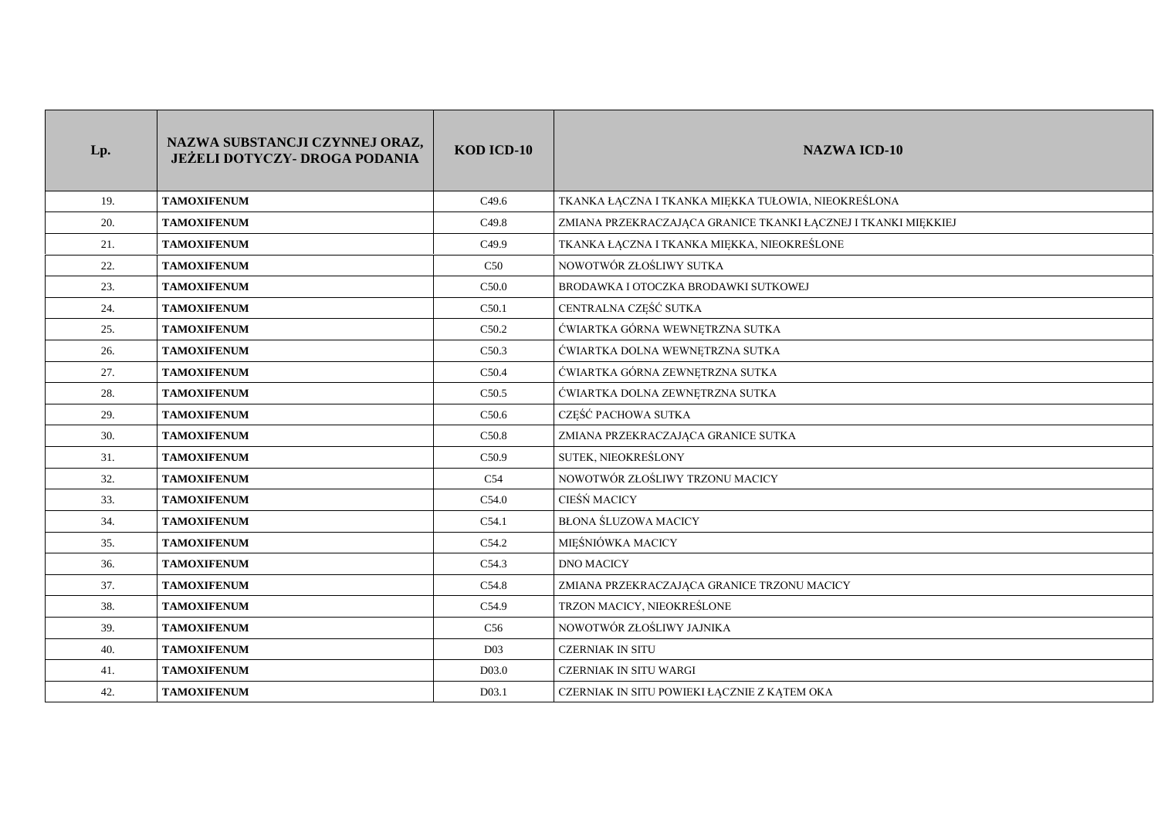| Lp. | NAZWA SUBSTANCJI CZYNNEJ ORAZ,<br><b>JEŻELI DOTYCZY- DROGA PODANIA</b> | KOD ICD-10        | <b>NAZWA ICD-10</b>                                            |
|-----|------------------------------------------------------------------------|-------------------|----------------------------------------------------------------|
| 19. | <b>TAMOXIFENUM</b>                                                     | C <sub>49.6</sub> | TKANKA ŁĄCZNA I TKANKA MIĘKKA TUŁOWIA, NIEOKREŚLONA            |
| 20. | <b>TAMOXIFENUM</b>                                                     | C <sub>49.8</sub> | ZMIANA PRZEKRACZAJĄCA GRANICE TKANKI ŁĄCZNEJ I TKANKI MIĘKKIEJ |
| 21. | <b>TAMOXIFENUM</b>                                                     | C <sub>49.9</sub> | TKANKA ŁĄCZNA I TKANKA MIĘKKA, NIEOKREŚLONE                    |
| 22. | <b>TAMOXIFENUM</b>                                                     | C50               | NOWOTWÓR ZŁOŚLIWY SUTKA                                        |
| 23. | <b>TAMOXIFENUM</b>                                                     | C50.0             | BRODAWKA I OTOCZKA BRODAWKI SUTKOWEJ                           |
| 24. | <b>TAMOXIFENUM</b>                                                     | C50.1             | CENTRALNA CZĘŚĆ SUTKA                                          |
| 25. | <b>TAMOXIFENUM</b>                                                     | C50.2             | ĆWIARTKA GÓRNA WEWNĘTRZNA SUTKA                                |
| 26. | <b>TAMOXIFENUM</b>                                                     | C50.3             | ĆWIARTKA DOLNA WEWNĘTRZNA SUTKA                                |
| 27. | <b>TAMOXIFENUM</b>                                                     | C50.4             | ĆWIARTKA GÓRNA ZEWNĘTRZNA SUTKA                                |
| 28. | <b>TAMOXIFENUM</b>                                                     | C <sub>50.5</sub> | ĆWIARTKA DOLNA ZEWNĘTRZNA SUTKA                                |
| 29. | <b>TAMOXIFENUM</b>                                                     | C50.6             | CZEŚĆ PACHOWA SUTKA                                            |
| 30. | <b>TAMOXIFENUM</b>                                                     | C50.8             | ZMIANA PRZEKRACZAJĄCA GRANICE SUTKA                            |
| 31. | <b>TAMOXIFENUM</b>                                                     | C <sub>50.9</sub> | SUTEK, NIEOKREŚLONY                                            |
| 32. | <b>TAMOXIFENUM</b>                                                     | C54               | NOWOTWÓR ZŁOŚLIWY TRZONU MACICY                                |
| 33. | <b>TAMOXIFENUM</b>                                                     | C54.0             | CIEŚŃ MACICY                                                   |
| 34. | <b>TAMOXIFENUM</b>                                                     | C54.1             | <b>BŁONA ŚLUZOWA MACICY</b>                                    |
| 35. | <b>TAMOXIFENUM</b>                                                     | C54.2             | MIEŚNIÓWKA MACICY                                              |
| 36. | <b>TAMOXIFENUM</b>                                                     | C54.3             | <b>DNO MACICY</b>                                              |
| 37. | <b>TAMOXIFENUM</b>                                                     | C54.8             | ZMIANA PRZEKRACZAJĄCA GRANICE TRZONU MACICY                    |
| 38. | <b>TAMOXIFENUM</b>                                                     | C54.9             | TRZON MACICY, NIEOKREŚLONE                                     |
| 39. | <b>TAMOXIFENUM</b>                                                     | C56               | NOWOTWÓR ZŁOŚLIWY JAJNIKA                                      |
| 40. | <b>TAMOXIFENUM</b>                                                     | D <sub>03</sub>   | <b>CZERNIAK IN SITU</b>                                        |
| 41. | <b>TAMOXIFENUM</b>                                                     | D03.0             | <b>CZERNIAK IN SITU WARGI</b>                                  |
| 42. | <b>TAMOXIFENUM</b>                                                     | D03.1             | CZERNIAK IN SITU POWIEKI ŁĄCZNIE Z KĄTEM OKA                   |